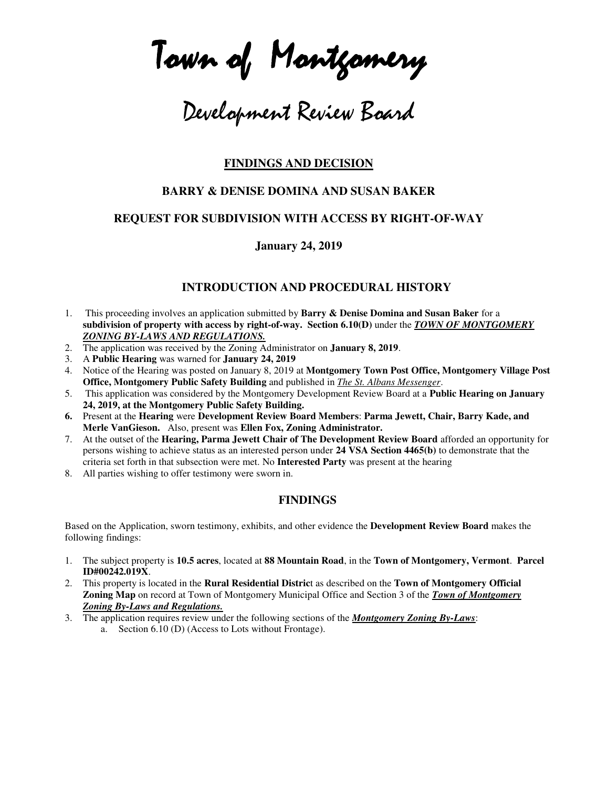Town of Montgomery

# Development Review Board

## **FINDINGS AND DECISION**

## **BARRY & DENISE DOMINA AND SUSAN BAKER**

## **REQUEST FOR SUBDIVISION WITH ACCESS BY RIGHT-OF-WAY**

#### **January 24, 2019**

## **INTRODUCTION AND PROCEDURAL HISTORY**

- 1. This proceeding involves an application submitted by **Barry & Denise Domina and Susan Baker** for a **subdivision of property with access by right-of-way. Section 6.10(D)** under the *TOWN OF MONTGOMERY ZONING BY-LAWS AND REGULATIONS.*
- 2. The application was received by the Zoning Administrator on **January 8, 2019**.
- 3. A **Public Hearing** was warned for **January 24, 2019**
- 4. Notice of the Hearing was posted on January 8, 2019 at **Montgomery Town Post Office, Montgomery Village Post Office, Montgomery Public Safety Building** and published in *The St. Albans Messenger*.
- 5. This application was considered by the Montgomery Development Review Board at a **Public Hearing on January 24, 2019, at the Montgomery Public Safety Building.**
- **6.** Present at the **Hearing** were **Development Review Board Members**: **Parma Jewett, Chair, Barry Kade, and Merle VanGieson.** Also, present was **Ellen Fox, Zoning Administrator.**
- 7. At the outset of the **Hearing, Parma Jewett Chair of The Development Review Board** afforded an opportunity for persons wishing to achieve status as an interested person under **24 VSA Section 4465(b)** to demonstrate that the criteria set forth in that subsection were met. No **Interested Party** was present at the hearing
- 8. All parties wishing to offer testimony were sworn in.

#### **FINDINGS**

Based on the Application, sworn testimony, exhibits, and other evidence the **Development Review Board** makes the following findings:

- 1. The subject property is **10.5 acres**, located at **88 Mountain Road**, in the **Town of Montgomery, Vermont**. **Parcel ID#00242.019X**.
- 2. This property is located in the **Rural Residential Distric**t as described on the **Town of Montgomery Official Zoning Map** on record at Town of Montgomery Municipal Office and Section 3 of the *Town of Montgomery Zoning By-Laws and Regulations.*
- 3. The application requires review under the following sections of the *Montgomery Zoning By-Laws*: a. Section 6.10 (D) (Access to Lots without Frontage).